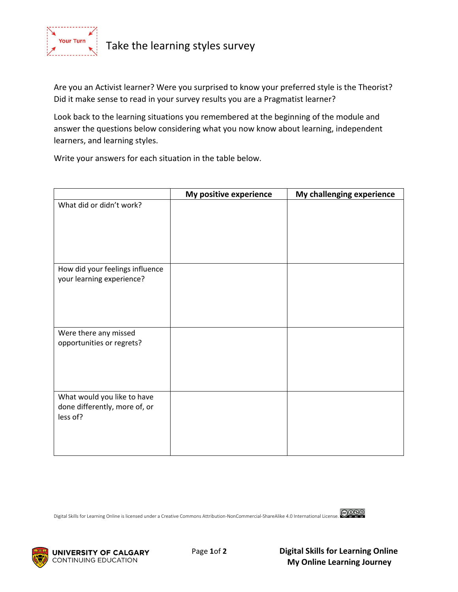

Take the learning styles survey

Are you an Activist learner? Were you surprised to know your preferred style is the Theorist? Did it make sense to read in your survey results you are a Pragmatist learner?

Look back to the learning situations you remembered at the beginning of the module and answer the questions below considering what you now know about learning, independent learners, and learning styles.

Write your answers for each situation in the table below.

|                                                                          | My positive experience | My challenging experience |
|--------------------------------------------------------------------------|------------------------|---------------------------|
| What did or didn't work?                                                 |                        |                           |
| How did your feelings influence<br>your learning experience?             |                        |                           |
| Were there any missed<br>opportunities or regrets?                       |                        |                           |
| What would you like to have<br>done differently, more of, or<br>less of? |                        |                           |

Digital Skills for Learning Online is licensed under a Creative Commons Attribution-NonCommercial-ShareAlike 4.0 International License.